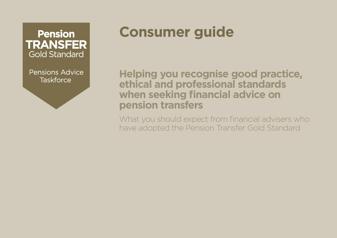**Pension TRANSFER Gold Standard** 

Pensions Advice **Taskforce** 

# **Consumer guide**

**Helping you recognise good practice, ethical and professional standards when seeking financial advice on pension transfers**

What you should expect from financial advisers who have adopted the Pension Transfer Gold Standard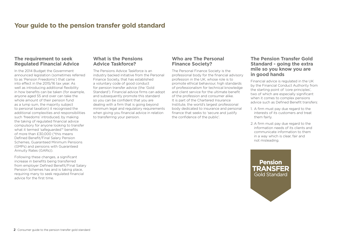# **Your guide to the pension transfer gold standard**

## **The requirement to seek Regulated Financial Advice**

In the 2014 Budget the Government announced legislation (sometimes referred to as 'Pension Freedoms') that came into effect in the 2015/16 tax year. As well as introducing additional flexibility in how benefits can be taken (for example, anyone aged 55 and over can take the whole amount of their pension fund as a lump sum, the majority subject to personal taxation) it recognised the additional complexities and responsibilities such 'freedoms' introduced, by making the taking of regulated financial advice compulsory for anyone looking to transfer what it termed 'safeguarded'\* benefits of more than £30,000 (\*this means Defined Benefit/Final Salary Pension Schemes, Guaranteed Minimum Pensions (GMPs) and pensions with Guaranteed Annuity Rates (GARs)).

Following these changes, a significant increase in benefits being transferred from employer Defined Benefit/Final Salary Pension Schemes has and is taking place, requiring many to seek regulated financial advice for the first time.

### **What is the Pensions Advice Taskforce?**

The Pensions Advice Taskforce is an industry backed initiative from the Personal Finance Society, that has established a voluntary code of good conduct for pension transfer advice (the 'Gold Standard'). Financial advice firms can adopt and subsequently promote this standard so you can be confident that you are dealing with a firm that is going beyond minimum legal and regulatory requirements when giving you financial advice in relation to transferring your pension.

## **Who are The Personal Finance Society?**

The Personal Finance Society is the professional body for the financial advisory profession in the UK, whose role is to promote ethical behaviour, high standards of professionalism for technical knowledge and client service for the ultimate benefit of the profession and consumer alike. It is part of the Chartered Insurance Institute, the world's largest professional body dedicated to insurance and personal finance that seeks to 'secure and justify the confidence of the public'.

## **The Pension Transfer Gold Standard - going the extra mile so you know you are in good hands**

Financial advice is regulated in the UK by the Financial Conduct Authority from the starting point of 'core principles', two of which are especially significant when it comes to complex pensions advice such as Defined Benefit transfers:

- 1. A firm must pay due regard to the interests of its customers and treat them fairly.
- 2. A firm must pay due regard to the information needs of its clients and communicate information to them in a way which is clear, fair and not misleading.

**Pension TRANSFER Gold Standard**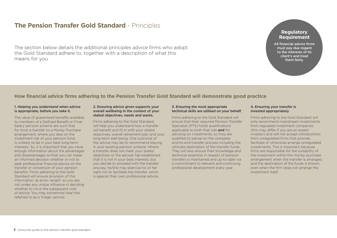## **The Pension Transfer Gold Standard** - Principles

The section below details the additional principles advice firms who adopt the Gold Standard adhere to, together with a description of what this means for you

## **Regulatory Requirement**

All financial advice firms must pay due regard to the interests of its client's and treat them fairly.

## **How financial advice firms adhering to the Pension Transfer Gold Standard will demonstrate good practice**

#### 1. Helping you understand when advice is appropriate, before you take it.

The value of guaranteed benefits available to members of a Defined Benefit or Final Salary pension scheme are such that for most a transfer to a Money Purchase arrangement, where you take on the investment risk of your pension fund, is unlikely to be in your best long-term interests. So, it is important that you have enough information about the advantages and disadvantages so that you can make an informed decision whether or not to seek professional financial advice on the transfer or conversion of your pension benefits. Firms adhering to the Gold Standard will ensure provision of this information 'at arms- length' so you are not under any undue influence in deciding whether to incur the subsequent cost of advice. You may sometimes hear this referred to as a 'triage' service.

#### 2. Ensuring advice given supports your overall wellbeing in the context of your stated objectives, needs and wants.

Firms adhering to the Gold Standard will help you understand how a transfer will benefit and fit in with your stated objectives, overall retirement plan and your long-term well-being. One outcome of the advice may be to recommend staying in your existing pension scheme. Where a transfer does not meet your stated objectives or the adviser has established that it is not in your best interests, but you decide to proceed with the transfer anyway, he/she may exercise his or her right not to facilitate the transfer, which is against their own professional advice.

#### 3. Ensuring the most appropriate technical skills are utilised on your behalf.

Firms adhering to the Gold Standard will ensure that their required Pension Transfer Specialist (PTS) holds qualifications applicable to both that role and for advising on investments, so they are qualified to advise on the complete end-to-end transfer process including the ultimate destination of the transfer funds. They will also ensure their knowledge and technical expertise in respect of pension transfers is maintained and up-to-date via a commitment to relevant and continuing professional development every year.

#### 4. Ensuring your transfer is invested appropriately.

Firms adhering to the Gold Standard will only recommend mainstream investments from regulated investment companies (this may differ if you are an expert investor) and will not accept introductions from unregulated firms that provide, facilitate or otherwise arrange unregulated investments. This is important because firms are responsible for the suitability of the investment within the money purchase arrangement when the transfer is arranged, and the destination of the funds is known, even when the firm does not arrange the investment itself.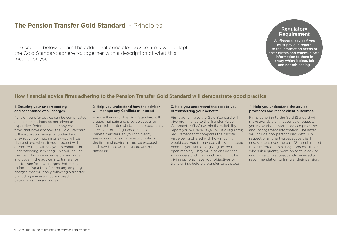# **The Pension Transfer Gold Standard** - Principles

The section below details the additional principles advice firms who adopt the Gold Standard adhere to, together with a description of what this means for you

## **Regulatory Requirement**

All financial advice firms must pay due regard to the information needs of their clients and communicate information to them in a way which is clear, fair and not misleading.

## **How financial advice firms adhering to the Pension Transfer Gold Standard will demonstrate good practice**

#### 1. Ensuring your understanding and acceptance of all charges.

Pension transfer advice can be complicated and can sometimes be perceived as expensive. Before you incur any costs firms that have adopted the Gold Standard will ensure you have a full understanding of exactly how much money you will be charged and when. If you proceed with a transfer they will ask you to confirm this understanding in writing. This will include the cost of advice in monetary amounts and cover if the advice is to transfer or not to transfer, any charges that relate to facilitating a transfer and any ongoing charges that will apply following a transfer (including any assumptions used in determining the amounts).

#### 2. Help you understand how the adviser will manage any Conflicts of Interest.

Firms adhering to the Gold Standard will create, maintain and provide access to a Conflict of Interest statement specifically in respect of Safeguarded and Defined Benefit transfers, so you can clearly see any conflicts of interests to which the firm and adviser/s may be exposed, and how these are mitigated and/or remedied.

#### 3. Help you understand the cost to you of transferring your benefits.

Firms adhering to the Gold Standard will give prominence to the Transfer Value Comparator (TVC) within the suitability report you will receive (a TVC is a regulatory requirement that compares the transfer value being offered with how much it would cost you to buy back the guaranteed benefits you would be giving up, on the open market). They will also ensure that you understand how much you might be giving up to achieve your objectives by transferring, before a transfer takes place.

#### 4. Help you understand the advice processes and recent client outcomes.

Firms adhering to the Gold Standard will make available any reasonable requests you make about internal advice processes and Management Information. The latter will include non-personalised details in respect of all client/prospective client engagement over the past 12-month period, those referred into a triage process, those who subsequently went on to take advice and those who subsequently received a recommendation to transfer their pension.